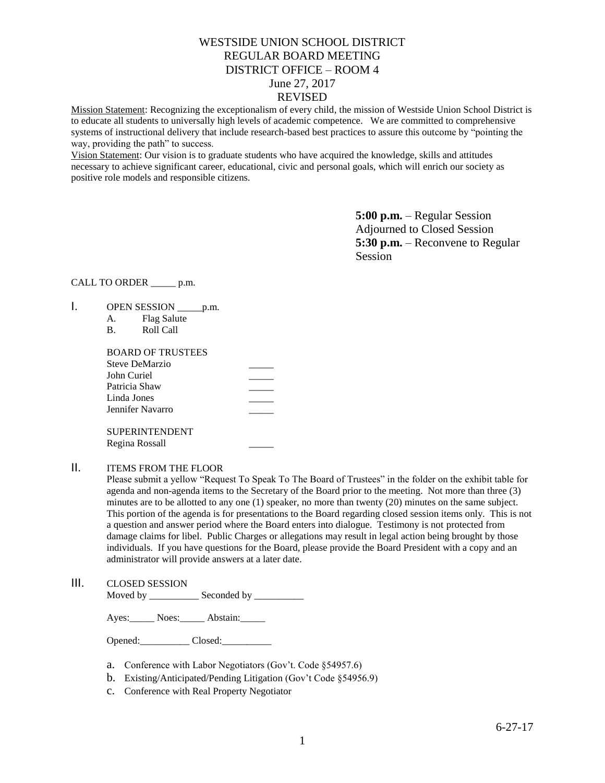# WESTSIDE UNION SCHOOL DISTRICT REGULAR BOARD MEETING DISTRICT OFFICE – ROOM 4 June 27, 2017 REVISED

Mission Statement: Recognizing the exceptionalism of every child, the mission of Westside Union School District is to educate all students to universally high levels of academic competence. We are committed to comprehensive systems of instructional delivery that include research-based best practices to assure this outcome by "pointing the way, providing the path" to success.

Vision Statement: Our vision is to graduate students who have acquired the knowledge, skills and attitudes necessary to achieve significant career, educational, civic and personal goals, which will enrich our society as positive role models and responsible citizens.

> **5:00 p.m.** – Regular Session Adjourned to Closed Session **5:30 p.m.** – Reconvene to Regular Session

### CALL TO ORDER \_\_\_\_\_ p.m.

- 1. OPEN SESSION \_\_\_\_\_\_ p.m.
	- A. Flag Salute
	- B. Roll Call

| BOARD OF TRUSTEES |  |
|-------------------|--|
| Steve DeMarzio    |  |
| John Curiel       |  |
| Patricia Shaw     |  |
| Linda Jones       |  |
| Jennifer Navarro  |  |
|                   |  |
| SUPERINTENDENT    |  |

Regina Rossall \_\_\_\_\_

## II. ITEMS FROM THE FLOOR

Please submit a yellow "Request To Speak To The Board of Trustees" in the folder on the exhibit table for agenda and non-agenda items to the Secretary of the Board prior to the meeting. Not more than three (3) minutes are to be allotted to any one (1) speaker, no more than twenty (20) minutes on the same subject. This portion of the agenda is for presentations to the Board regarding closed session items only. This is not a question and answer period where the Board enters into dialogue. Testimony is not protected from damage claims for libel. Public Charges or allegations may result in legal action being brought by those individuals. If you have questions for the Board, please provide the Board President with a copy and an administrator will provide answers at a later date.

III. CLOSED SESSION Moved by \_\_\_\_\_\_\_\_\_\_\_\_\_ Seconded by \_\_\_\_\_

Ayes: Noes: Abstain:

Opened: Closed:

- a. Conference with Labor Negotiators (Gov't. Code §54957.6)
- b. Existing/Anticipated/Pending Litigation (Gov't Code §54956.9)
- c. Conference with Real Property Negotiator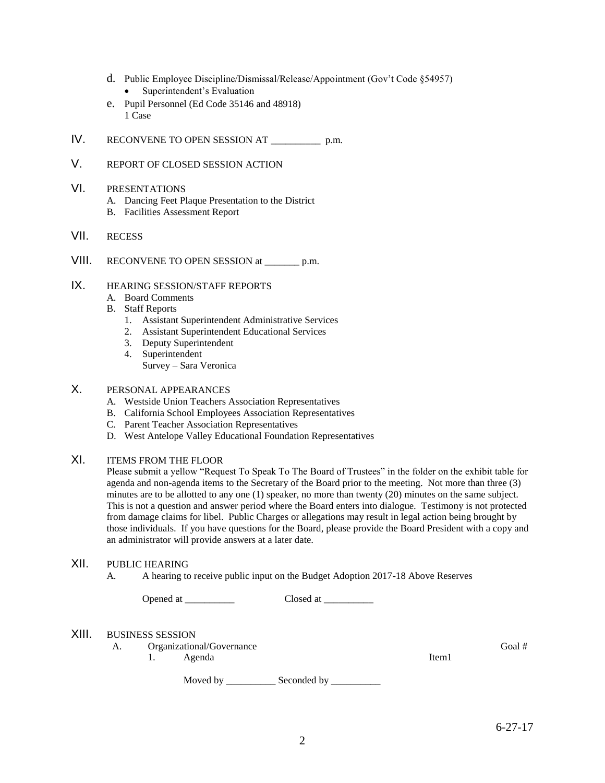- d. Public Employee Discipline/Dismissal/Release/Appointment (Gov't Code §54957) • Superintendent's Evaluation
- e. Pupil Personnel (Ed Code 35146 and 48918) 1 Case
- IV. RECONVENE TO OPEN SESSION AT \_\_\_\_\_\_\_\_\_\_ p.m.
- V. REPORT OF CLOSED SESSION ACTION
- VI. PRESENTATIONS
	- A. Dancing Feet Plaque Presentation to the District
	- B. Facilities Assessment Report
- VII. RECESS
- VIII. RECONVENE TO OPEN SESSION at \_\_\_\_\_\_\_ p.m.

# IX. HEARING SESSION/STAFF REPORTS

- A. Board Comments
- B. Staff Reports
	- 1. Assistant Superintendent Administrative Services
	- 2. Assistant Superintendent Educational Services
	- 3. Deputy Superintendent
	- 4. Superintendent Survey – Sara Veronica

# X. PERSONAL APPEARANCES

- A. Westside Union Teachers Association Representatives
- B. California School Employees Association Representatives
- C. Parent Teacher Association Representatives
- D. West Antelope Valley Educational Foundation Representatives

# XI. ITEMS FROM THE FLOOR

Please submit a yellow "Request To Speak To The Board of Trustees" in the folder on the exhibit table for agenda and non-agenda items to the Secretary of the Board prior to the meeting. Not more than three (3) minutes are to be allotted to any one (1) speaker, no more than twenty (20) minutes on the same subject. This is not a question and answer period where the Board enters into dialogue. Testimony is not protected from damage claims for libel. Public Charges or allegations may result in legal action being brought by those individuals. If you have questions for the Board, please provide the Board President with a copy and an administrator will provide answers at a later date.

## XII. PUBLIC HEARING

A. A hearing to receive public input on the Budget Adoption 2017-18 Above Reserves

Opened at \_\_\_\_\_\_\_\_\_\_ Closed at \_\_\_\_\_\_\_\_\_\_

### XIII. BUSINESS SESSION

A. Organizational/Governance Goal #

1. Agenda

Item1

Moved by \_\_\_\_\_\_\_\_\_\_\_\_\_ Seconded by \_\_\_\_\_\_\_\_\_\_\_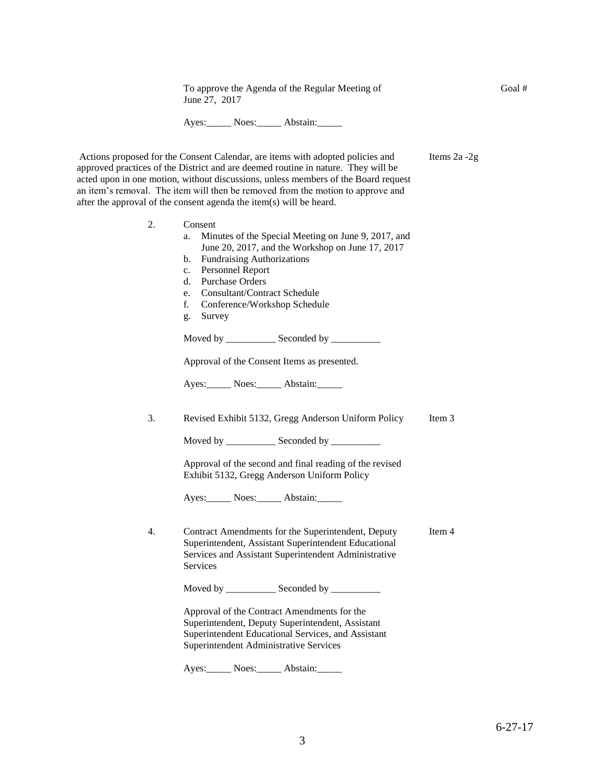To approve the Agenda of the Regular Meeting of June 27, 2017

Ayes: Noes: Abstain:

Actions proposed for the Consent Calendar, are items with adopted policies and approved practices of the District and are deemed routine in nature. They will be acted upon in one motion, without discussions, unless members of the Board request an item's removal. The item will then be removed from the motion to approve and after the approval of the consent agenda the item(s) will be heard. Items 2a -2g

2. Consent

| 2. | Consent<br>Minutes of the Special Meeting on June 9, 2017, and<br>a.<br>June 20, 2017, and the Workshop on June 17, 2017<br><b>Fundraising Authorizations</b><br>b.<br>Personnel Report<br>c.<br><b>Purchase Orders</b><br>d.<br><b>Consultant/Contract Schedule</b><br>e. |      |
|----|----------------------------------------------------------------------------------------------------------------------------------------------------------------------------------------------------------------------------------------------------------------------------|------|
|    | f.<br>Conference/Workshop Schedule<br>Survey<br>g.                                                                                                                                                                                                                         |      |
|    | Moved by ______________ Seconded by __________                                                                                                                                                                                                                             |      |
|    | Approval of the Consent Items as presented.                                                                                                                                                                                                                                |      |
|    | Ayes: Noes: Abstain:                                                                                                                                                                                                                                                       |      |
| 3. | Revised Exhibit 5132, Gregg Anderson Uniform Policy                                                                                                                                                                                                                        | Item |
|    |                                                                                                                                                                                                                                                                            |      |
|    | Approval of the second and final reading of the revised<br>Exhibit 5132, Gregg Anderson Uniform Policy                                                                                                                                                                     |      |
|    | Ayes: Noes: Abstain:                                                                                                                                                                                                                                                       |      |
| 4. | Contract Amendments for the Superintendent, Deputy<br>Superintendent, Assistant Superintendent Educational<br>Services and Assistant Superintendent Administrative<br>Services                                                                                             | Item |
|    | Moved by _____________ Seconded by ___________                                                                                                                                                                                                                             |      |
|    | Approval of the Contract Amendments for the<br>Superintendent, Deputy Superintendent, Assistant<br>Superintendent Educational Services, and Assistant<br>Superintendent Administrative Services                                                                            |      |
|    |                                                                                                                                                                                                                                                                            |      |

Ayes: Noes: Abstain:

 $\mathfrak{Z}$ 

 $\overline{4}$ 

Goal #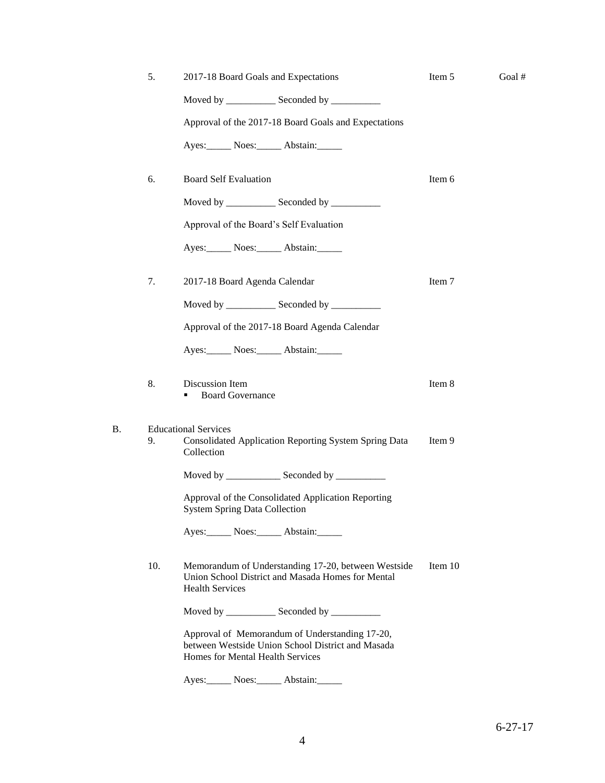|    | 5.  | 2017-18 Board Goals and Expectations                                                                                                    | Item 5  | Goal# |
|----|-----|-----------------------------------------------------------------------------------------------------------------------------------------|---------|-------|
|    |     | Moved by ______________ Seconded by ___________                                                                                         |         |       |
|    |     | Approval of the 2017-18 Board Goals and Expectations                                                                                    |         |       |
|    |     | Ayes: Noes: Abstain:                                                                                                                    |         |       |
|    | 6.  | <b>Board Self Evaluation</b>                                                                                                            | Item 6  |       |
|    |     | Moved by ______________ Seconded by ___________                                                                                         |         |       |
|    |     | Approval of the Board's Self Evaluation                                                                                                 |         |       |
|    |     | Ayes: Noes: Abstain:                                                                                                                    |         |       |
|    | 7.  | 2017-18 Board Agenda Calendar                                                                                                           | Item 7  |       |
|    |     | Moved by ______________ Seconded by ___________                                                                                         |         |       |
|    |     | Approval of the 2017-18 Board Agenda Calendar                                                                                           |         |       |
|    |     | Ayes: Noes: Abstain:                                                                                                                    |         |       |
|    | 8.  | Discussion Item<br><b>Board Governance</b>                                                                                              | Item 8  |       |
| Β. | 9.  | <b>Educational Services</b><br>Consolidated Application Reporting System Spring Data<br>Collection                                      | Item 9  |       |
|    |     |                                                                                                                                         |         |       |
|    |     | Approval of the Consolidated Application Reporting<br><b>System Spring Data Collection</b>                                              |         |       |
|    |     | Ayes: Noes: Abstain:                                                                                                                    |         |       |
|    | 10. | Memorandum of Understanding 17-20, between Westside<br>Union School District and Masada Homes for Mental<br><b>Health Services</b>      | Item 10 |       |
|    |     | Moved by ______________ Seconded by ___________                                                                                         |         |       |
|    |     | Approval of Memorandum of Understanding 17-20,<br>between Westside Union School District and Masada<br>Homes for Mental Health Services |         |       |
|    |     |                                                                                                                                         |         |       |

Ayes: Noes: Abstain: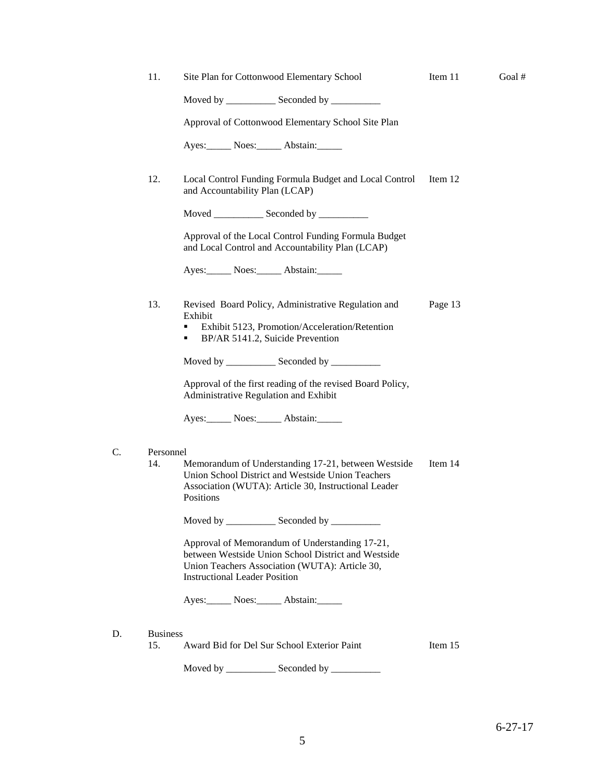| 11.             | Site Plan for Cottonwood Elementary School                                                                                                                                                      | Item 11 | Goal# |
|-----------------|-------------------------------------------------------------------------------------------------------------------------------------------------------------------------------------------------|---------|-------|
|                 | Moved by _____________ Seconded by __________                                                                                                                                                   |         |       |
|                 | Approval of Cottonwood Elementary School Site Plan                                                                                                                                              |         |       |
|                 | Ayes: Noes: Abstain:                                                                                                                                                                            |         |       |
| 12.             | Local Control Funding Formula Budget and Local Control<br>and Accountability Plan (LCAP)                                                                                                        | Item 12 |       |
|                 | Moved ______________ Seconded by ____________                                                                                                                                                   |         |       |
|                 | Approval of the Local Control Funding Formula Budget<br>and Local Control and Accountability Plan (LCAP)                                                                                        |         |       |
|                 | Ayes: Noes: Abstain:                                                                                                                                                                            |         |       |
| 13.             | Revised Board Policy, Administrative Regulation and<br>Exhibit<br>Exhibit 5123, Promotion/Acceleration/Retention<br>٠<br>BP/AR 5141.2, Suicide Prevention<br>٠                                  | Page 13 |       |
|                 | Moved by _____________ Seconded by ___________                                                                                                                                                  |         |       |
|                 | Approval of the first reading of the revised Board Policy,<br>Administrative Regulation and Exhibit                                                                                             |         |       |
|                 | Ayes: Noes: Abstain:                                                                                                                                                                            |         |       |
| Personnel       |                                                                                                                                                                                                 |         |       |
| 14.             | Memorandum of Understanding 17-21, between Westside<br>Union School District and Westside Union Teachers<br>Association (WUTA): Article 30, Instructional Leader<br>Positions                   | Item 14 |       |
|                 | Moved by _____________ Seconded by __________                                                                                                                                                   |         |       |
|                 | Approval of Memorandum of Understanding 17-21,<br>between Westside Union School District and Westside<br>Union Teachers Association (WUTA): Article 30,<br><b>Instructional Leader Position</b> |         |       |
|                 | Ayes: Noes: Abstain:                                                                                                                                                                            |         |       |
| <b>Business</b> |                                                                                                                                                                                                 |         |       |
| 15.             | Award Bid for Del Sur School Exterior Paint                                                                                                                                                     | Item 15 |       |
|                 |                                                                                                                                                                                                 |         |       |

 $C.$ 

 $D.$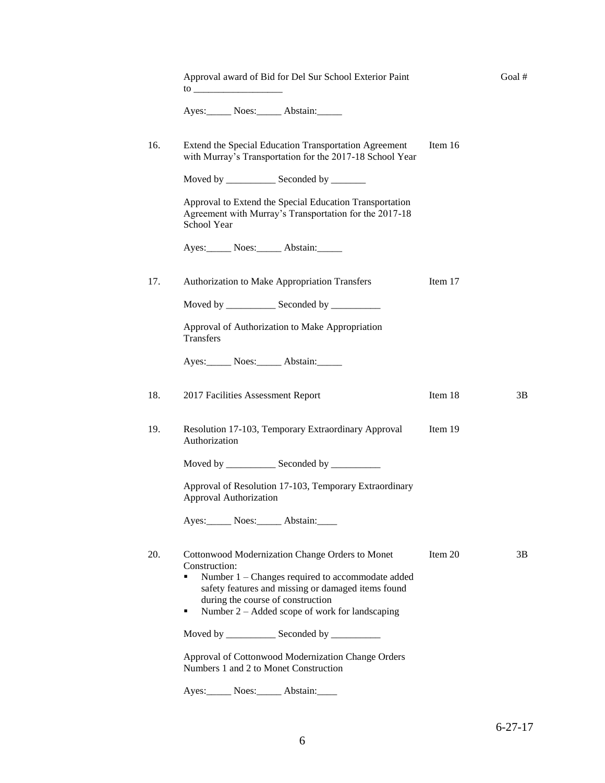| Approval award of Bid for Del Sur School Exterior Paint                                                                                                                                                 |         | Goal # |
|---------------------------------------------------------------------------------------------------------------------------------------------------------------------------------------------------------|---------|--------|
| Ayes: Noes: Abstain:                                                                                                                                                                                    |         |        |
| Extend the Special Education Transportation Agreement<br>with Murray's Transportation for the 2017-18 School Year                                                                                       | Item 16 |        |
| Moved by _______________ Seconded by ________                                                                                                                                                           |         |        |
| Approval to Extend the Special Education Transportation<br>Agreement with Murray's Transportation for the 2017-18<br>School Year                                                                        |         |        |
| Ayes: Noes: Abstain:                                                                                                                                                                                    |         |        |
| Authorization to Make Appropriation Transfers                                                                                                                                                           | Item 17 |        |
| Moved by _____________ Seconded by ___________                                                                                                                                                          |         |        |
| Approval of Authorization to Make Appropriation<br>Transfers                                                                                                                                            |         |        |
| Ayes: Noes: Abstain:                                                                                                                                                                                    |         |        |
| 2017 Facilities Assessment Report                                                                                                                                                                       | Item 18 | 3B     |
| Resolution 17-103, Temporary Extraordinary Approval<br>Authorization                                                                                                                                    | Item 19 |        |
| Moved by ______________ Seconded by ___________                                                                                                                                                         |         |        |
| Approval of Resolution 17-103, Temporary Extraordinary<br>Approval Authorization                                                                                                                        |         |        |
| Ayes: Noes: Abstain:                                                                                                                                                                                    |         |        |
| Cottonwood Modernization Change Orders to Monet<br>Construction:                                                                                                                                        | Item 20 | 3B     |
| Number 1 – Changes required to accommodate added<br>٠<br>safety features and missing or damaged items found<br>during the course of construction<br>Number 2 – Added scope of work for landscaping<br>٠ |         |        |
| Moved by ______________ Seconded by ___________                                                                                                                                                         |         |        |
| Approval of Cottonwood Modernization Change Orders<br>Numbers 1 and 2 to Monet Construction                                                                                                             |         |        |
| Ayes: Noes: Abstain:                                                                                                                                                                                    |         |        |

6-27-17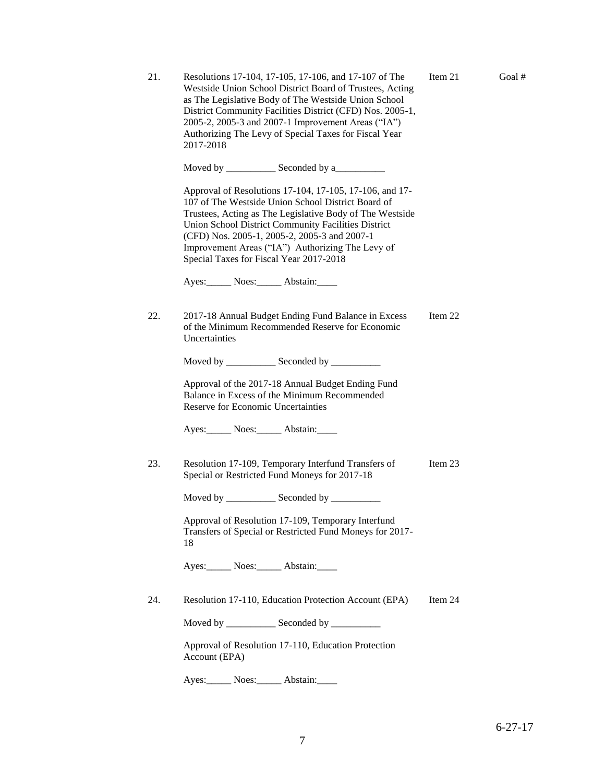| 21. | Resolutions 17-104, 17-105, 17-106, and 17-107 of The<br>Westside Union School District Board of Trustees, Acting<br>as The Legislative Body of The Westside Union School<br>District Community Facilities District (CFD) Nos. 2005-1,<br>2005-2, 2005-3 and 2007-1 Improvement Areas ("IA")<br>Authorizing The Levy of Special Taxes for Fiscal Year<br>2017-2018              | Item 21 | Goal# |
|-----|---------------------------------------------------------------------------------------------------------------------------------------------------------------------------------------------------------------------------------------------------------------------------------------------------------------------------------------------------------------------------------|---------|-------|
|     | Moved by _______________ Seconded by a_____________                                                                                                                                                                                                                                                                                                                             |         |       |
|     | Approval of Resolutions 17-104, 17-105, 17-106, and 17-<br>107 of The Westside Union School District Board of<br>Trustees, Acting as The Legislative Body of The Westside<br>Union School District Community Facilities District<br>(CFD) Nos. 2005-1, 2005-2, 2005-3 and 2007-1<br>Improvement Areas ("IA") Authorizing The Levy of<br>Special Taxes for Fiscal Year 2017-2018 |         |       |
|     | Ayes: Noes: Abstain:                                                                                                                                                                                                                                                                                                                                                            |         |       |
| 22. | 2017-18 Annual Budget Ending Fund Balance in Excess<br>of the Minimum Recommended Reserve for Economic<br>Uncertainties                                                                                                                                                                                                                                                         | Item 22 |       |
|     | Moved by _____________ Seconded by __________                                                                                                                                                                                                                                                                                                                                   |         |       |
|     | Approval of the 2017-18 Annual Budget Ending Fund<br>Balance in Excess of the Minimum Recommended<br>Reserve for Economic Uncertainties                                                                                                                                                                                                                                         |         |       |
|     | Ayes: Noes: Abstain:                                                                                                                                                                                                                                                                                                                                                            |         |       |
| 23. | Resolution 17-109, Temporary Interfund Transfers of<br>Special or Restricted Fund Moneys for 2017-18                                                                                                                                                                                                                                                                            | Item 23 |       |
|     |                                                                                                                                                                                                                                                                                                                                                                                 |         |       |
|     | Approval of Resolution 17-109, Temporary Interfund<br>Transfers of Special or Restricted Fund Moneys for 2017-<br>18                                                                                                                                                                                                                                                            |         |       |
|     | Ayes: Noes: Abstain:                                                                                                                                                                                                                                                                                                                                                            |         |       |
| 24. | Resolution 17-110, Education Protection Account (EPA)                                                                                                                                                                                                                                                                                                                           | Item 24 |       |
|     | Moved by _____________ Seconded by ___________                                                                                                                                                                                                                                                                                                                                  |         |       |
|     | Approval of Resolution 17-110, Education Protection<br>Account (EPA)                                                                                                                                                                                                                                                                                                            |         |       |
|     | Ayes: Noes: Abstain:                                                                                                                                                                                                                                                                                                                                                            |         |       |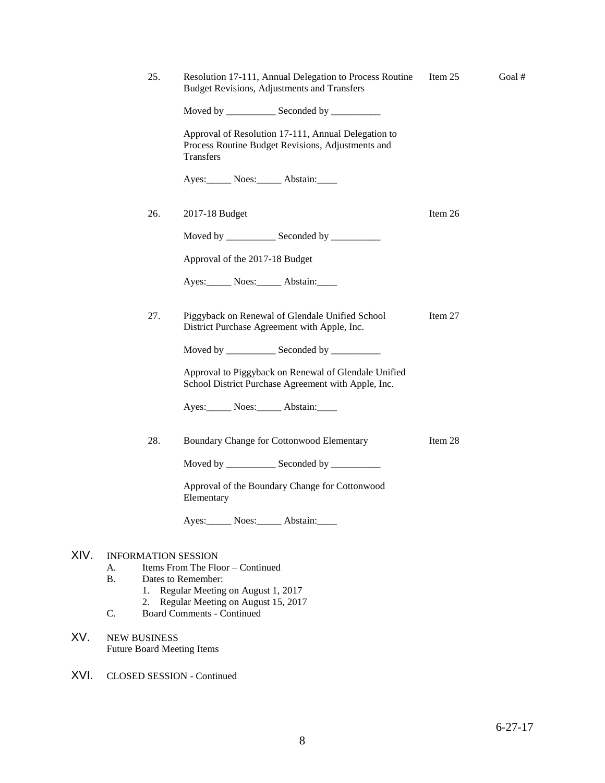|      | 25.                                                      | Resolution 17-111, Annual Delegation to Process Routine<br><b>Budget Revisions, Adjustments and Transfers</b>         | Item $25$ | Goal # |
|------|----------------------------------------------------------|-----------------------------------------------------------------------------------------------------------------------|-----------|--------|
|      |                                                          | Moved by _______________ Seconded by ____________                                                                     |           |        |
|      |                                                          | Approval of Resolution 17-111, Annual Delegation to<br>Process Routine Budget Revisions, Adjustments and<br>Transfers |           |        |
|      |                                                          | Ayes: Noes: Abstain:                                                                                                  |           |        |
|      | 26.                                                      | 2017-18 Budget                                                                                                        | Item 26   |        |
|      |                                                          | Moved by _____________ Seconded by __________                                                                         |           |        |
|      |                                                          | Approval of the 2017-18 Budget                                                                                        |           |        |
|      |                                                          | Ayes: Noes: Abstain:                                                                                                  |           |        |
|      | 27.                                                      | Piggyback on Renewal of Glendale Unified School<br>District Purchase Agreement with Apple, Inc.                       | Item 27   |        |
|      |                                                          | Moved by _____________ Seconded by ___________                                                                        |           |        |
|      |                                                          | Approval to Piggyback on Renewal of Glendale Unified<br>School District Purchase Agreement with Apple, Inc.           |           |        |
|      |                                                          | Ayes: Noes: Abstain:                                                                                                  |           |        |
|      | 28.                                                      | Boundary Change for Cottonwood Elementary                                                                             | Item 28   |        |
|      |                                                          | Moved by ______________ Seconded by ___________                                                                       |           |        |
|      |                                                          | Approval of the Boundary Change for Cottonwood<br>Elementary                                                          |           |        |
|      |                                                          | Ayes: Noes: Abstain:                                                                                                  |           |        |
| XIV. | <b>INFORMATION SESSION</b>                               |                                                                                                                       |           |        |
|      | А.                                                       | Items From The Floor - Continued                                                                                      |           |        |
|      | <b>B.</b>                                                | Dates to Remember:                                                                                                    |           |        |
|      | 1.<br>2.                                                 | Regular Meeting on August 1, 2017<br>Regular Meeting on August 15, 2017                                               |           |        |
|      | C.                                                       | <b>Board Comments - Continued</b>                                                                                     |           |        |
| XV.  | <b>NEW BUSINESS</b><br><b>Future Board Meeting Items</b> |                                                                                                                       |           |        |

XVI. CLOSED SESSION - Continued